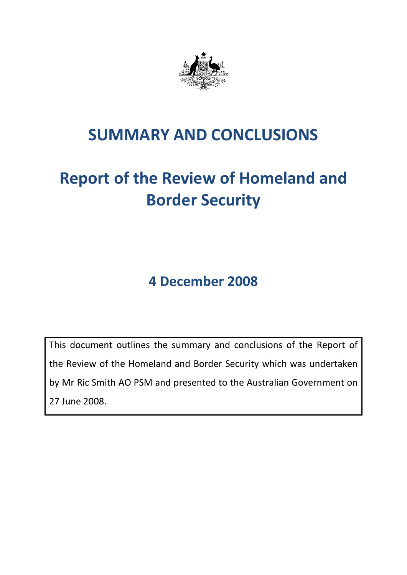

## **SUMMARY AND CONCLUSIONS**

# **Report of the Review of Homeland and Border Security**

**4 December 2008**

This document outlines the summary and conclusions of the Report of the Review of the Homeland and Border Security which was undertaken by Mr Ric Smith AO PSM and presented to the Australian Government on 27 June 2008.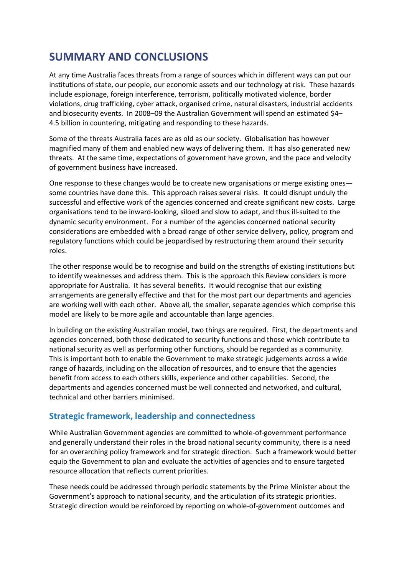### **SUMMARY AND CONCLUSIONS**

At any time Australia faces threats from a range of sources which in different ways can put our institutions of state, our people, our economic assets and our technology at risk. These hazards include espionage, foreign interference, terrorism, politically motivated violence, border violations, drug trafficking, cyber attack, organised crime, natural disasters, industrial accidents and biosecurity events. In 2008–09 the Australian Government will spend an estimated \$4– 4.5 billion in countering, mitigating and responding to these hazards.

Some of the threats Australia faces are as old as our society. Globalisation has however magnified many of them and enabled new ways of delivering them. It has also generated new threats. At the same time, expectations of government have grown, and the pace and velocity of government business have increased.

One response to these changes would be to create new organisations or merge existing ones some countries have done this. This approach raises several risks. It could disrupt unduly the successful and effective work of the agencies concerned and create significant new costs. Large organisations tend to be inward-looking, siloed and slow to adapt, and thus ill-suited to the dynamic security environment. For a number of the agencies concerned national security considerations are embedded with a broad range of other service delivery, policy, program and regulatory functions which could be jeopardised by restructuring them around their security roles.

The other response would be to recognise and build on the strengths of existing institutions but to identify weaknesses and address them. This is the approach this Review considers is more appropriate for Australia. It has several benefits. It would recognise that our existing arrangements are generally effective and that for the most part our departments and agencies are working well with each other. Above all, the smaller, separate agencies which comprise this model are likely to be more agile and accountable than large agencies.

In building on the existing Australian model, two things are required. First, the departments and agencies concerned, both those dedicated to security functions and those which contribute to national security as well as performing other functions, should be regarded as a community. This is important both to enable the Government to make strategic judgements across a wide range of hazards, including on the allocation of resources, and to ensure that the agencies benefit from access to each others skills, experience and other capabilities. Second, the departments and agencies concerned must be well connected and networked, and cultural, technical and other barriers minimised.

#### **Strategic framework, leadership and connectedness**

While Australian Government agencies are committed to whole-of-government performance and generally understand their roles in the broad national security community, there is a need for an overarching policy framework and for strategic direction. Such a framework would better equip the Government to plan and evaluate the activities of agencies and to ensure targeted resource allocation that reflects current priorities.

These needs could be addressed through periodic statements by the Prime Minister about the Government's approach to national security, and the articulation of its strategic priorities. Strategic direction would be reinforced by reporting on whole-of-government outcomes and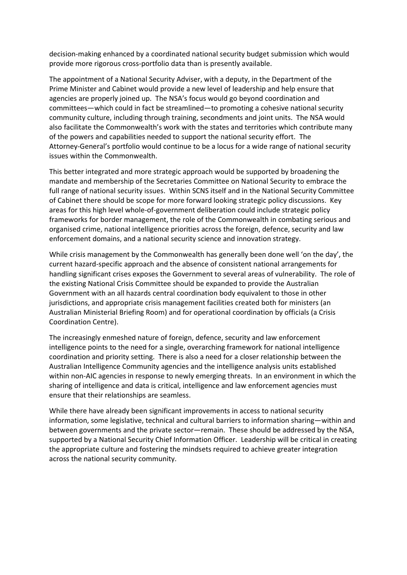decision-making enhanced by a coordinated national security budget submission which would provide more rigorous cross-portfolio data than is presently available.

The appointment of a National Security Adviser, with a deputy, in the Department of the Prime Minister and Cabinet would provide a new level of leadership and help ensure that agencies are properly joined up. The NSA's focus would go beyond coordination and committees—which could in fact be streamlined—to promoting a cohesive national security community culture, including through training, secondments and joint units. The NSA would also facilitate the Commonwealth's work with the states and territories which contribute many of the powers and capabilities needed to support the national security effort. The Attorney-General's portfolio would continue to be a locus for a wide range of national security issues within the Commonwealth.

This better integrated and more strategic approach would be supported by broadening the mandate and membership of the Secretaries Committee on National Security to embrace the full range of national security issues. Within SCNS itself and in the National Security Committee of Cabinet there should be scope for more forward looking strategic policy discussions. Key areas for this high level whole-of-government deliberation could include strategic policy frameworks for border management, the role of the Commonwealth in combating serious and organised crime, national intelligence priorities across the foreign, defence, security and law enforcement domains, and a national security science and innovation strategy.

While crisis management by the Commonwealth has generally been done well 'on the day', the current hazard-specific approach and the absence of consistent national arrangements for handling significant crises exposes the Government to several areas of vulnerability. The role of the existing National Crisis Committee should be expanded to provide the Australian Government with an all hazards central coordination body equivalent to those in other jurisdictions, and appropriate crisis management facilities created both for ministers (an Australian Ministerial Briefing Room) and for operational coordination by officials (a Crisis Coordination Centre).

The increasingly enmeshed nature of foreign, defence, security and law enforcement intelligence points to the need for a single, overarching framework for national intelligence coordination and priority setting. There is also a need for a closer relationship between the Australian Intelligence Community agencies and the intelligence analysis units established within non-AIC agencies in response to newly emerging threats. In an environment in which the sharing of intelligence and data is critical, intelligence and law enforcement agencies must ensure that their relationships are seamless.

While there have already been significant improvements in access to national security information, some legislative, technical and cultural barriers to information sharing—within and between governments and the private sector—remain. These should be addressed by the NSA, supported by a National Security Chief Information Officer. Leadership will be critical in creating the appropriate culture and fostering the mindsets required to achieve greater integration across the national security community.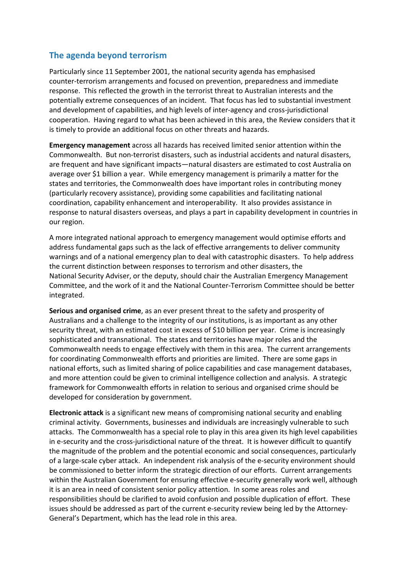#### **The agenda beyond terrorism**

Particularly since 11 September 2001, the national security agenda has emphasised counter-terrorism arrangements and focused on prevention, preparedness and immediate response. This reflected the growth in the terrorist threat to Australian interests and the potentially extreme consequences of an incident. That focus has led to substantial investment and development of capabilities, and high levels of inter-agency and cross-jurisdictional cooperation. Having regard to what has been achieved in this area, the Review considers that it is timely to provide an additional focus on other threats and hazards.

**Emergency management** across all hazards has received limited senior attention within the Commonwealth. But non-terrorist disasters, such as industrial accidents and natural disasters, are frequent and have significant impacts—natural disasters are estimated to cost Australia on average over \$1 billion a year. While emergency management is primarily a matter for the states and territories, the Commonwealth does have important roles in contributing money (particularly recovery assistance), providing some capabilities and facilitating national coordination, capability enhancement and interoperability. It also provides assistance in response to natural disasters overseas, and plays a part in capability development in countries in our region.

A more integrated national approach to emergency management would optimise efforts and address fundamental gaps such as the lack of effective arrangements to deliver community warnings and of a national emergency plan to deal with catastrophic disasters. To help address the current distinction between responses to terrorism and other disasters, the National Security Adviser, or the deputy, should chair the Australian Emergency Management Committee, and the work of it and the National Counter-Terrorism Committee should be better integrated.

**Serious and organised crime**, as an ever present threat to the safety and prosperity of Australians and a challenge to the integrity of our institutions, is as important as any other security threat, with an estimated cost in excess of \$10 billion per year. Crime is increasingly sophisticated and transnational. The states and territories have major roles and the Commonwealth needs to engage effectively with them in this area. The current arrangements for coordinating Commonwealth efforts and priorities are limited. There are some gaps in national efforts, such as limited sharing of police capabilities and case management databases, and more attention could be given to criminal intelligence collection and analysis. A strategic framework for Commonwealth efforts in relation to serious and organised crime should be developed for consideration by government.

**Electronic attack** is a significant new means of compromising national security and enabling criminal activity. Governments, businesses and individuals are increasingly vulnerable to such attacks. The Commonwealth has a special role to play in this area given its high level capabilities in e-security and the cross-jurisdictional nature of the threat. It is however difficult to quantify the magnitude of the problem and the potential economic and social consequences, particularly of a large-scale cyber attack. An independent risk analysis of the e-security environment should be commissioned to better inform the strategic direction of our efforts. Current arrangements within the Australian Government for ensuring effective e-security generally work well, although it is an area in need of consistent senior policy attention. In some areas roles and responsibilities should be clarified to avoid confusion and possible duplication of effort. These issues should be addressed as part of the current e-security review being led by the Attorney-General's Department, which has the lead role in this area.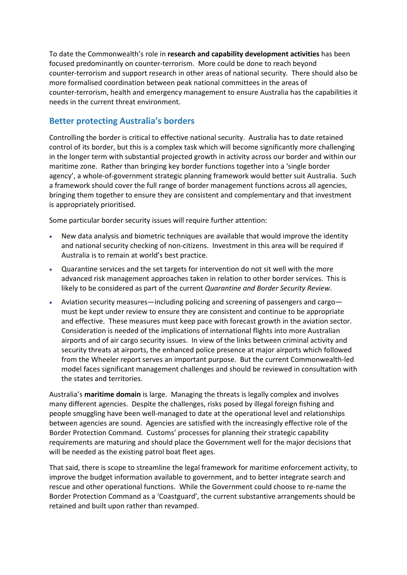To date the Commonwealth's role in **research and capability development activities** has been focused predominantly on counter-terrorism. More could be done to reach beyond counter-terrorism and support research in other areas of national security. There should also be more formalised coordination between peak national committees in the areas of counter-terrorism, health and emergency management to ensure Australia has the capabilities it needs in the current threat environment.

#### **Better protecting Australia's borders**

Controlling the border is critical to effective national security. Australia has to date retained control of its border, but this is a complex task which will become significantly more challenging in the longer term with substantial projected growth in activity across our border and within our maritime zone. Rather than bringing key border functions together into a 'single border agency', a whole-of-government strategic planning framework would better suit Australia. Such a framework should cover the full range of border management functions across all agencies, bringing them together to ensure they are consistent and complementary and that investment is appropriately prioritised.

Some particular border security issues will require further attention:

- New data analysis and biometric techniques are available that would improve the identity and national security checking of non-citizens. Investment in this area will be required if Australia is to remain at world's best practice.
- Quarantine services and the set targets for intervention do not sit well with the more advanced risk management approaches taken in relation to other border services. This is likely to be considered as part of the current *Quarantine and Border Security Review*.
- Aviation security measures—including policing and screening of passengers and cargo must be kept under review to ensure they are consistent and continue to be appropriate and effective. These measures must keep pace with forecast growth in the aviation sector. Consideration is needed of the implications of international flights into more Australian airports and of air cargo security issues. In view of the links between criminal activity and security threats at airports, the enhanced police presence at major airports which followed from the Wheeler report serves an important purpose. But the current Commonwealth-led model faces significant management challenges and should be reviewed in consultation with the states and territories.

Australia's **maritime domain** is large. Managing the threats is legally complex and involves many different agencies. Despite the challenges, risks posed by illegal foreign fishing and people smuggling have been well-managed to date at the operational level and relationships between agencies are sound. Agencies are satisfied with the increasingly effective role of the Border Protection Command. Customs' processes for planning their strategic capability requirements are maturing and should place the Government well for the major decisions that will be needed as the existing patrol boat fleet ages.

That said, there is scope to streamline the legal framework for maritime enforcement activity, to improve the budget information available to government, and to better integrate search and rescue and other operational functions. While the Government could choose to re-name the Border Protection Command as a 'Coastguard', the current substantive arrangements should be retained and built upon rather than revamped.